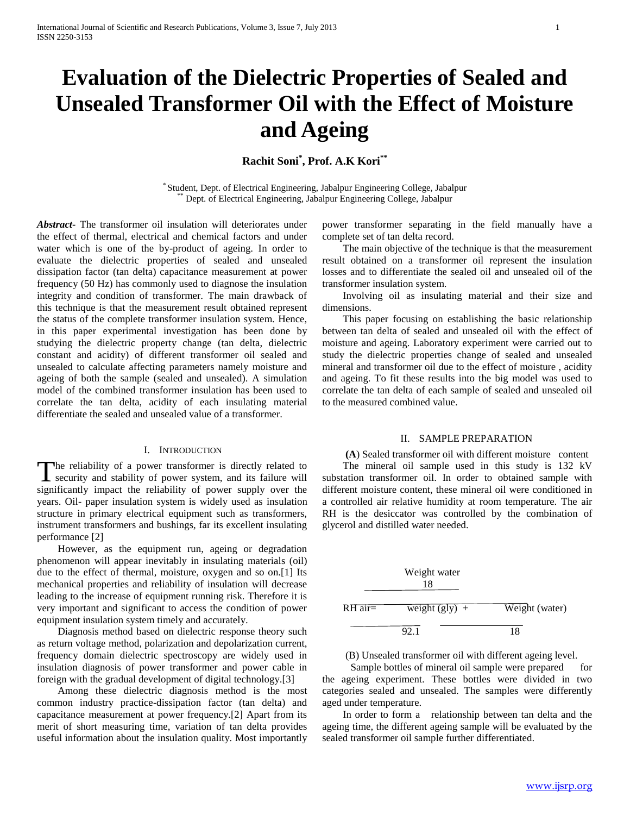# **Evaluation of the Dielectric Properties of Sealed and Unsealed Transformer Oil with the Effect of Moisture and Ageing**

**Rachit Soni\* , Prof. A.K Kori\*\***

\* Student, Dept. of Electrical Engineering, Jabalpur Engineering College, Jabalpur Dept. of Electrical Engineering, Jabalpur Engineering College, Jabalpur

*Abstract***-** The transformer oil insulation will deteriorates under the effect of thermal, electrical and chemical factors and under water which is one of the by-product of ageing. In order to evaluate the dielectric properties of sealed and unsealed dissipation factor (tan delta) capacitance measurement at power frequency (50 Hz) has commonly used to diagnose the insulation integrity and condition of transformer. The main drawback of this technique is that the measurement result obtained represent the status of the complete transformer insulation system. Hence, in this paper experimental investigation has been done by studying the dielectric property change (tan delta, dielectric constant and acidity) of different transformer oil sealed and unsealed to calculate affecting parameters namely moisture and ageing of both the sample (sealed and unsealed). A simulation model of the combined transformer insulation has been used to correlate the tan delta, acidity of each insulating material differentiate the sealed and unsealed value of a transformer.

# I. INTRODUCTION

The reliability of a power transformer is directly related to The reliability of a power transformer is directly related to security and stability of power system, and its failure will significantly impact the reliability of power supply over the years. Oil- paper insulation system is widely used as insulation structure in primary electrical equipment such as transformers, instrument transformers and bushings, far its excellent insulating performance [2]

 However, as the equipment run, ageing or degradation phenomenon will appear inevitably in insulating materials (oil) due to the effect of thermal, moisture, oxygen and so on.[1] Its mechanical properties and reliability of insulation will decrease leading to the increase of equipment running risk. Therefore it is very important and significant to access the condition of power equipment insulation system timely and accurately.

 Diagnosis method based on dielectric response theory such as return voltage method, polarization and depolarization current, frequency domain dielectric spectroscopy are widely used in insulation diagnosis of power transformer and power cable in foreign with the gradual development of digital technology.[3]

 Among these dielectric diagnosis method is the most common industry practice-dissipation factor (tan delta) and capacitance measurement at power frequency.[2] Apart from its merit of short measuring time, variation of tan delta provides useful information about the insulation quality. Most importantly

power transformer separating in the field manually have a complete set of tan delta record.

 The main objective of the technique is that the measurement result obtained on a transformer oil represent the insulation losses and to differentiate the sealed oil and unsealed oil of the transformer insulation system.

 Involving oil as insulating material and their size and dimensions.

 This paper focusing on establishing the basic relationship between tan delta of sealed and unsealed oil with the effect of moisture and ageing. Laboratory experiment were carried out to study the dielectric properties change of sealed and unsealed mineral and transformer oil due to the effect of moisture , acidity and ageing. To fit these results into the big model was used to correlate the tan delta of each sample of sealed and unsealed oil to the measured combined value.

### II. SAMPLE PREPARATION

 **(A**) Sealed transformer oil with different moisture content The mineral oil sample used in this study is 132 kV substation transformer oil. In order to obtained sample with different moisture content, these mineral oil were conditioned in a controlled air relative humidity at room temperature. The air RH is the desiccator was controlled by the combination of glycerol and distilled water needed.



(B) Unsealed transformer oil with different ageing level.

Sample bottles of mineral oil sample were prepared for the ageing experiment. These bottles were divided in two categories sealed and unsealed. The samples were differently aged under temperature.

 In order to form a relationship between tan delta and the ageing time, the different ageing sample will be evaluated by the sealed transformer oil sample further differentiated.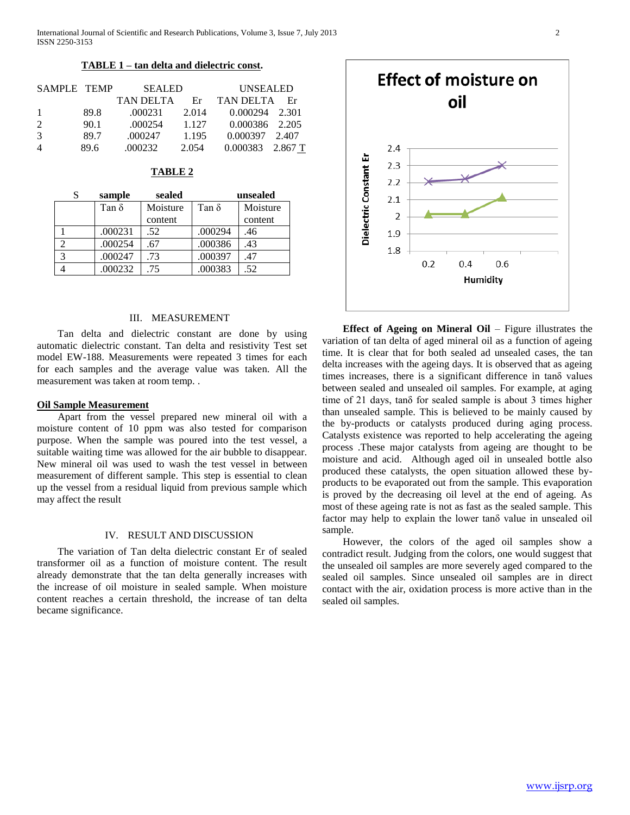International Journal of Scientific and Research Publications, Volume 3, Issue 7, July 2013 2 ISSN 2250-3153

## **TABLE 1 – tan delta and dielectric const.**

| SAMPLE TEMP    |      | <b>SEALED</b> |       | <b>UNSEALED</b>    |      |
|----------------|------|---------------|-------|--------------------|------|
|                |      | TAN DELTA     | Er    | TAN DELTA          | – Er |
| -1             | 89.8 | .000231       | 2.014 | 0.000294 2.301     |      |
| $\mathcal{L}$  | 90.1 | .000254       | 1.127 | 0.000386 2.205     |      |
| $\mathcal{R}$  | 89.7 | .000247       | 1.195 | 0.000397 2.407     |      |
| $\overline{4}$ | 89.6 | .000232       | 2.054 | $0.000383$ 2.867 T |      |

| г.<br>п<br>Н<br>. .<br>ч. |  |
|---------------------------|--|
|---------------------------|--|

| sample |         | sealed   |              | unsealed |  |
|--------|---------|----------|--------------|----------|--|
|        | Tan δ   | Moisture | Tan $\delta$ | Moisture |  |
|        |         | content  |              | content  |  |
|        | .000231 | .52      | .000294      | .46      |  |
|        | .000254 | .67      | .000386      | .43      |  |
| 3      | .000247 | .73      | .000397      | .47      |  |
|        | .000232 | .75      | .000383      | .52      |  |

# III. MEASUREMENT

 Tan delta and dielectric constant are done by using automatic dielectric constant. Tan delta and resistivity Test set model EW-188. Measurements were repeated 3 times for each for each samples and the average value was taken. All the measurement was taken at room temp. .

## **Oil Sample Measurement**

 Apart from the vessel prepared new mineral oil with a moisture content of 10 ppm was also tested for comparison purpose. When the sample was poured into the test vessel, a suitable waiting time was allowed for the air bubble to disappear. New mineral oil was used to wash the test vessel in between measurement of different sample. This step is essential to clean up the vessel from a residual liquid from previous sample which may affect the result

#### IV. RESULT AND DISCUSSION

 The variation of Tan delta dielectric constant Er of sealed transformer oil as a function of moisture content. The result already demonstrate that the tan delta generally increases with the increase of oil moisture in sealed sample. When moisture content reaches a certain threshold, the increase of tan delta became significance.



 **Effect of Ageing on Mineral Oil** – Figure illustrates the variation of tan delta of aged mineral oil as a function of ageing time. It is clear that for both sealed ad unsealed cases, the tan delta increases with the ageing days. It is observed that as ageing times increases, there is a significant difference in tanδ values between sealed and unsealed oil samples. For example, at aging time of 21 days, tanδ for sealed sample is about 3 times higher than unsealed sample. This is believed to be mainly caused by the by-products or catalysts produced during aging process. Catalysts existence was reported to help accelerating the ageing process .These major catalysts from ageing are thought to be moisture and acid. Although aged oil in unsealed bottle also produced these catalysts, the open situation allowed these byproducts to be evaporated out from the sample. This evaporation is proved by the decreasing oil level at the end of ageing. As most of these ageing rate is not as fast as the sealed sample. This factor may help to explain the lower tanδ value in unsealed oil sample.

 However, the colors of the aged oil samples show a contradict result. Judging from the colors, one would suggest that the unsealed oil samples are more severely aged compared to the sealed oil samples. Since unsealed oil samples are in direct contact with the air, oxidation process is more active than in the sealed oil samples.